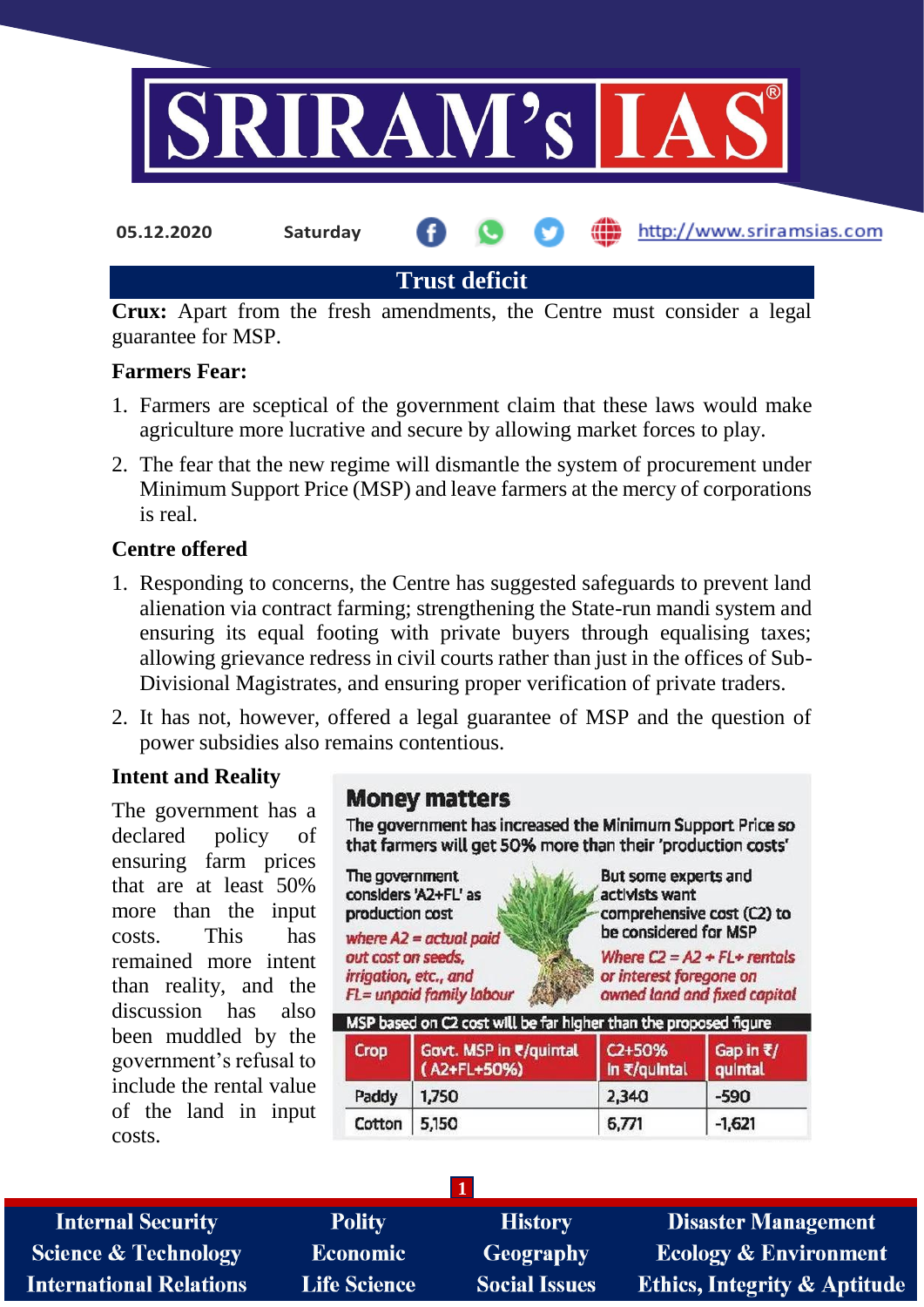

**Crux:** Apart from the fresh amendments, the Centre must consider a legal guarantee for MSP.

#### **Farmers Fear:**

- 1. Farmers are sceptical of the government claim that these laws would make agriculture more lucrative and secure by allowing market forces to play.
- 2. The fear that the new regime will dismantle the system of procurement under Minimum Support Price (MSP) and leave farmers at the mercy of corporations is real.

#### **Centre offered**

- 1. Responding to concerns, the Centre has suggested safeguards to prevent land alienation via contract farming; strengthening the State-run mandi system and ensuring its equal footing with private buyers through equalising taxes; allowing grievance redress in civil courts rather than just in the offices of Sub-Divisional Magistrates, and ensuring proper verification of private traders.
- 2. It has not, however, offered a legal guarantee of MSP and the question of power subsidies also remains contentious.

#### **Intent and Reality**

The government has a declared policy of ensuring farm prices that are at least 50% more than the input costs. This has remained more intent than reality, and the discussion has also been muddled by the government's refusal to include the rental value of the land in input costs.

## **Money matters**

The government has increased the Minimum Support Price so that farmers will get 50% more than their 'production costs'

The government considers 'A2+FL' as production cost where  $A2 = actual$  paid out cost on seeds, irrigation, etc., and

FL= unpaid family labour

But some experts and

activists want comprehensive cost (C2) to be considered for MSP

Where  $C2 = A2 + FL+$  rentals or interest foregone on owned land and fixed capital

|        | MSP based on C2 cost will be far higher than the proposed figure |                                     |                                          |  |
|--------|------------------------------------------------------------------|-------------------------------------|------------------------------------------|--|
| Crop   | Govt. MSP in ₹/quintal<br>(A2+FL+50%)                            | C <sub>2+50</sub> %<br>In ₹/quintal | Gap in $\overline{\epsilon}/$<br>quintal |  |
| Paddy  | 1,750                                                            | 2,340                               | $-590$                                   |  |
| Cotton | 5,150                                                            | 6,771                               | $-1,621$                                 |  |

**Internal Security Science & Technology International Relations** 

**Polity Economic Life Science** 

**History Geography Social Issues** 

**1**

**Disaster Management Ecology & Environment Ethics, Integrity & Aptitude**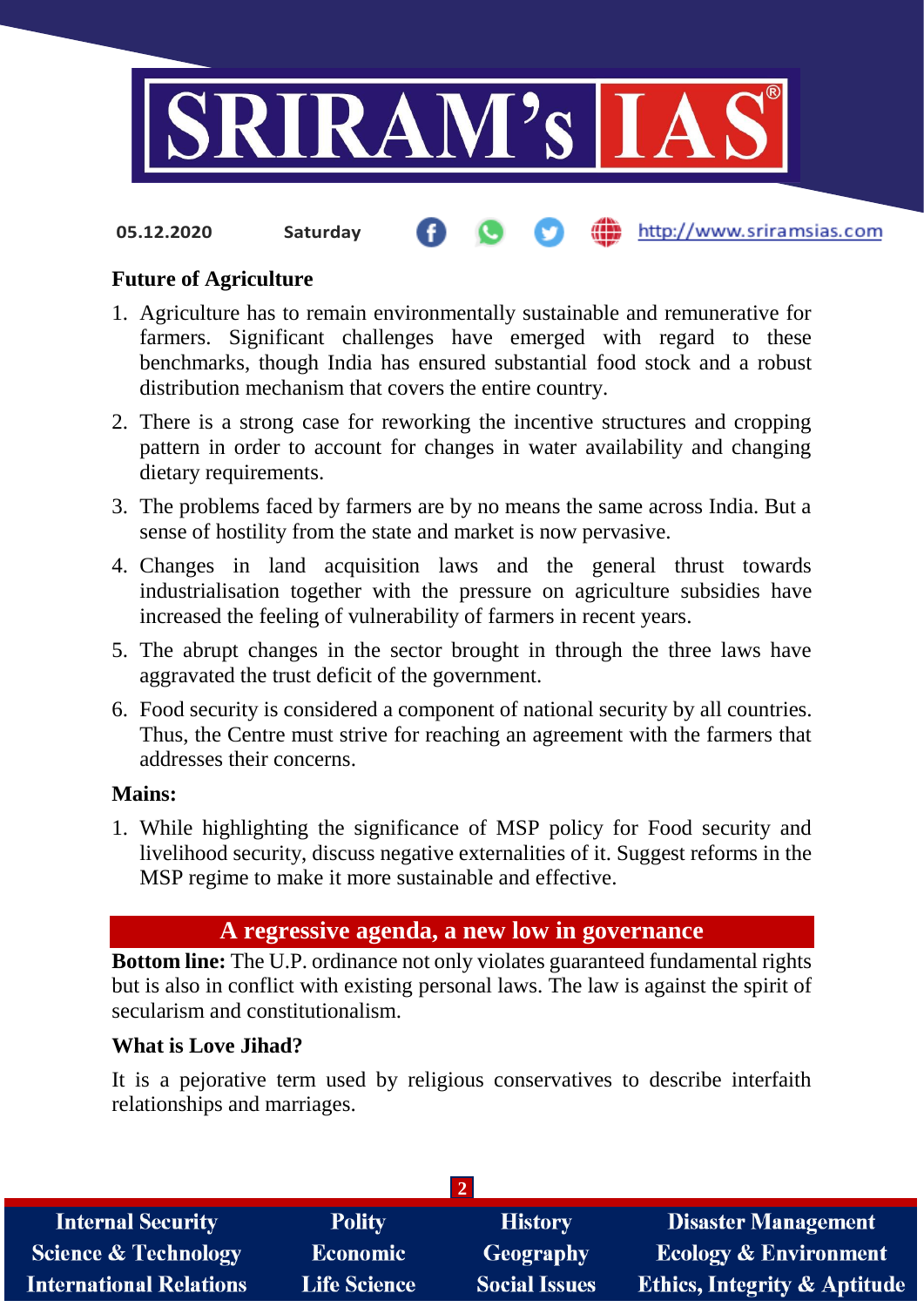

#### **Future of Agriculture**

- 1. Agriculture has to remain environmentally sustainable and remunerative for farmers. Significant challenges have emerged with regard to these benchmarks, though India has ensured substantial food stock and a robust distribution mechanism that covers the entire country.
- 2. There is a strong case for reworking the incentive structures and cropping pattern in order to account for changes in water availability and changing dietary requirements.
- 3. The problems faced by farmers are by no means the same across India. But a sense of hostility from the state and market is now pervasive.
- 4. Changes in land acquisition laws and the general thrust towards industrialisation together with the pressure on agriculture subsidies have increased the feeling of vulnerability of farmers in recent years.
- 5. The abrupt changes in the sector brought in through the three laws have aggravated the trust deficit of the government.
- 6. Food security is considered a component of national security by all countries. Thus, the Centre must strive for reaching an agreement with the farmers that addresses their concerns.

#### **Mains:**

1. While highlighting the significance of MSP policy for Food security and livelihood security, discuss negative externalities of it. Suggest reforms in the MSP regime to make it more sustainable and effective.

## **A regressive agenda, a new low in governance**

**Bottom line:** The U.P. ordinance not only violates guaranteed fundamental rights but is also in conflict with existing personal laws. The law is against the spirit of secularism and constitutionalism.

#### **What is Love Jihad?**

It is a pejorative term used by religious conservatives to describe interfaith relationships and marriages.

| <b>Internal Security</b>        | <b>Polity</b>       | <b>History</b>       | <b>Disaster Management</b>              |
|---------------------------------|---------------------|----------------------|-----------------------------------------|
| <b>Science &amp; Technology</b> | Economic            | <b>Geography</b>     | <b>Ecology &amp; Environment</b>        |
| <b>International Relations</b>  | <b>Life Science</b> | <b>Social Issues</b> | <b>Ethics, Integrity &amp; Aptitude</b> |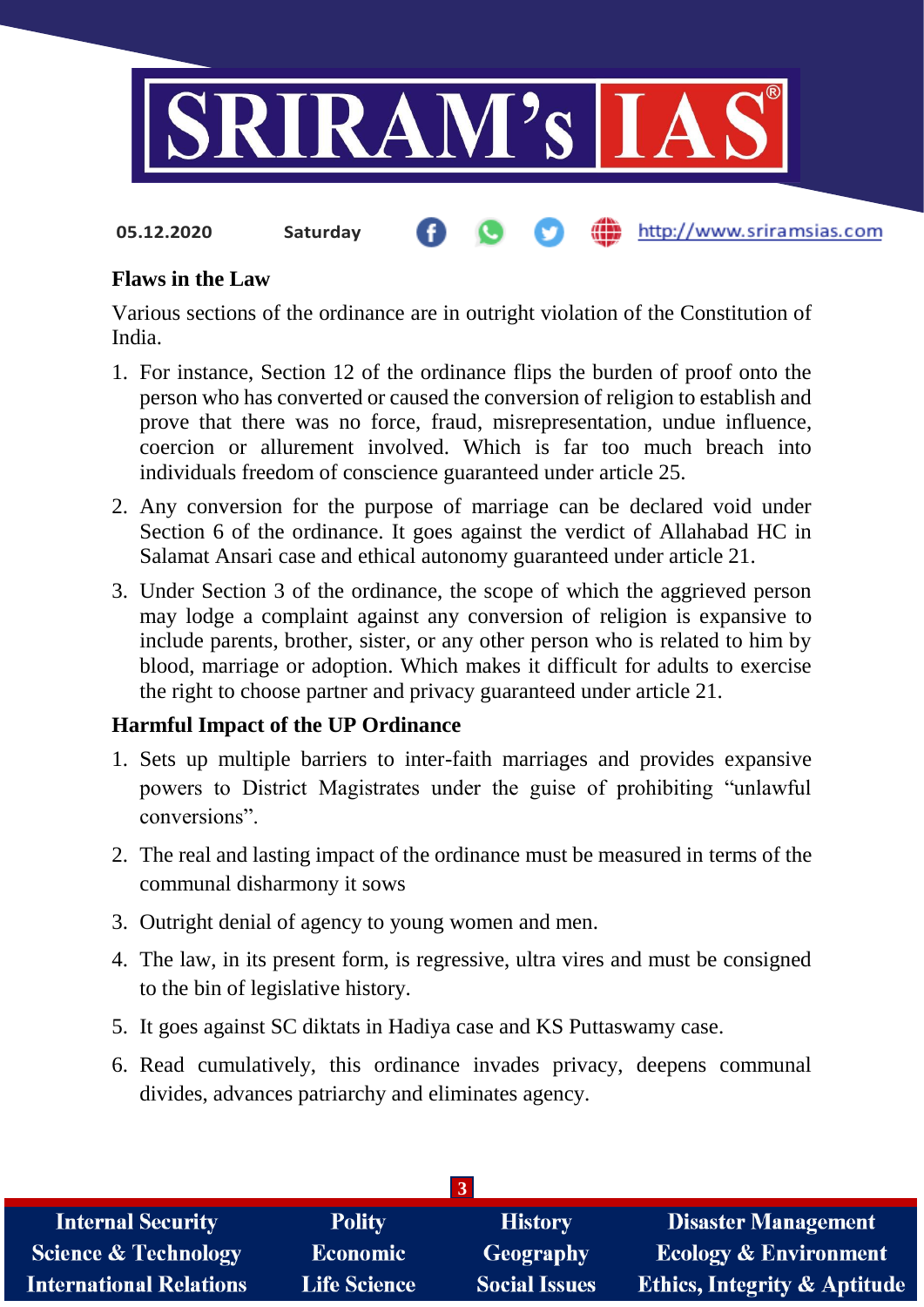

#### **Flaws in the Law**

Various sections of the ordinance are in outright violation of the Constitution of India.

- 1. For instance, Section 12 of the ordinance flips the burden of proof onto the person who has converted or caused the conversion of religion to establish and prove that there was no force, fraud, misrepresentation, undue influence, coercion or allurement involved. Which is far too much breach into individuals freedom of conscience guaranteed under article 25.
- 2. Any conversion for the purpose of marriage can be declared void under Section 6 of the ordinance. It goes against the verdict of Allahabad HC in Salamat Ansari case and ethical autonomy guaranteed under article 21.
- 3. Under Section 3 of the ordinance, the scope of which the aggrieved person may lodge a complaint against any conversion of religion is expansive to include parents, brother, sister, or any other person who is related to him by blood, marriage or adoption. Which makes it difficult for adults to exercise the right to choose partner and privacy guaranteed under article 21.

## **Harmful Impact of the UP Ordinance**

- 1. Sets up multiple barriers to inter-faith marriages and provides expansive powers to District Magistrates under the guise of prohibiting "unlawful conversions".
- 2. The real and lasting impact of the ordinance must be measured in terms of the communal disharmony it sows
- 3. Outright denial of agency to young women and men.
- 4. The law, in its present form, is regressive, ultra vires and must be consigned to the bin of legislative history.
- 5. It goes against SC diktats in Hadiya case and KS Puttaswamy case.
- 6. Read cumulatively, this ordinance invades privacy, deepens communal divides, advances patriarchy and eliminates agency.

| <b>Internal Security</b>        | <b>Polity</b>       | <b>History</b>       | Disaster Management                     |
|---------------------------------|---------------------|----------------------|-----------------------------------------|
| <b>Science &amp; Technology</b> | <b>Economic</b>     | Geography            | <b>Ecology &amp; Environment</b>        |
| <b>International Relations</b>  | <b>Life Science</b> | <b>Social Issues</b> | <b>Ethics, Integrity &amp; Aptitude</b> |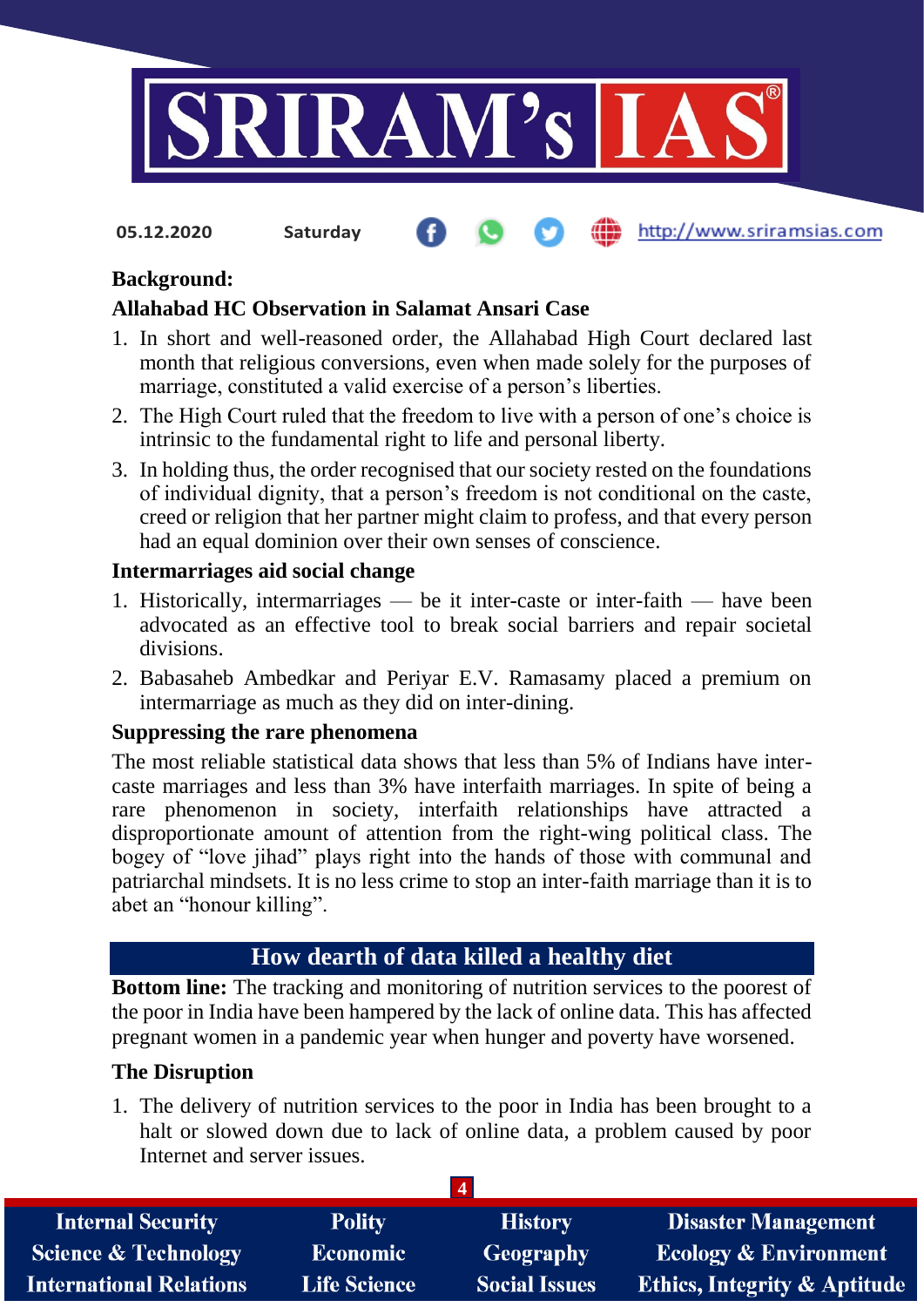

**05.12.2020 Saturday**

#### http://www.sriramsias.com

## **Background:**

#### **Allahabad HC Observation in Salamat Ansari Case**

- 1. In short and well-reasoned order, the Allahabad High Court declared last month that religious conversions, even when made solely for the purposes of marriage, constituted a valid exercise of a person's liberties.
- 2. The High Court ruled that the freedom to live with a person of one's choice is intrinsic to the fundamental right to life and personal liberty.
- 3. In holding thus, the order recognised that our society rested on the foundations of individual dignity, that a person's freedom is not conditional on the caste, creed or religion that her partner might claim to profess, and that every person had an equal dominion over their own senses of conscience.

#### **Intermarriages aid social change**

- 1. Historically, intermarriages be it inter-caste or inter-faith have been advocated as an effective tool to break social barriers and repair societal divisions.
- 2. Babasaheb Ambedkar and Periyar E.V. Ramasamy placed a premium on intermarriage as much as they did on inter-dining.

#### **Suppressing the rare phenomena**

The most reliable statistical data shows that less than 5% of Indians have intercaste marriages and less than 3% have interfaith marriages. In spite of being a rare phenomenon in society, interfaith relationships have attracted a disproportionate amount of attention from the right-wing political class. The bogey of "love jihad" plays right into the hands of those with communal and patriarchal mindsets. It is no less crime to stop an inter-faith marriage than it is to abet an "honour killing".

# **How dearth of data killed a healthy diet**

**Bottom line:** The tracking and monitoring of nutrition services to the poorest of the poor in India have been hampered by the lack of online data. This has affected pregnant women in a pandemic year when hunger and poverty have worsened.

## **The Disruption**

1. The delivery of nutrition services to the poor in India has been brought to a halt or slowed down due to lack of online data, a problem caused by poor Internet and server issues.

| <b>Internal Security</b>        | <b>Polity</b>       | <b>History</b>       | <b>Disaster Management</b>              |
|---------------------------------|---------------------|----------------------|-----------------------------------------|
| <b>Science &amp; Technology</b> | <b>Economic</b>     | Geography            | <b>Ecology &amp; Environment</b>        |
| <b>International Relations</b>  | <b>Life Science</b> | <b>Social Issues</b> | <b>Ethics, Integrity &amp; Aptitude</b> |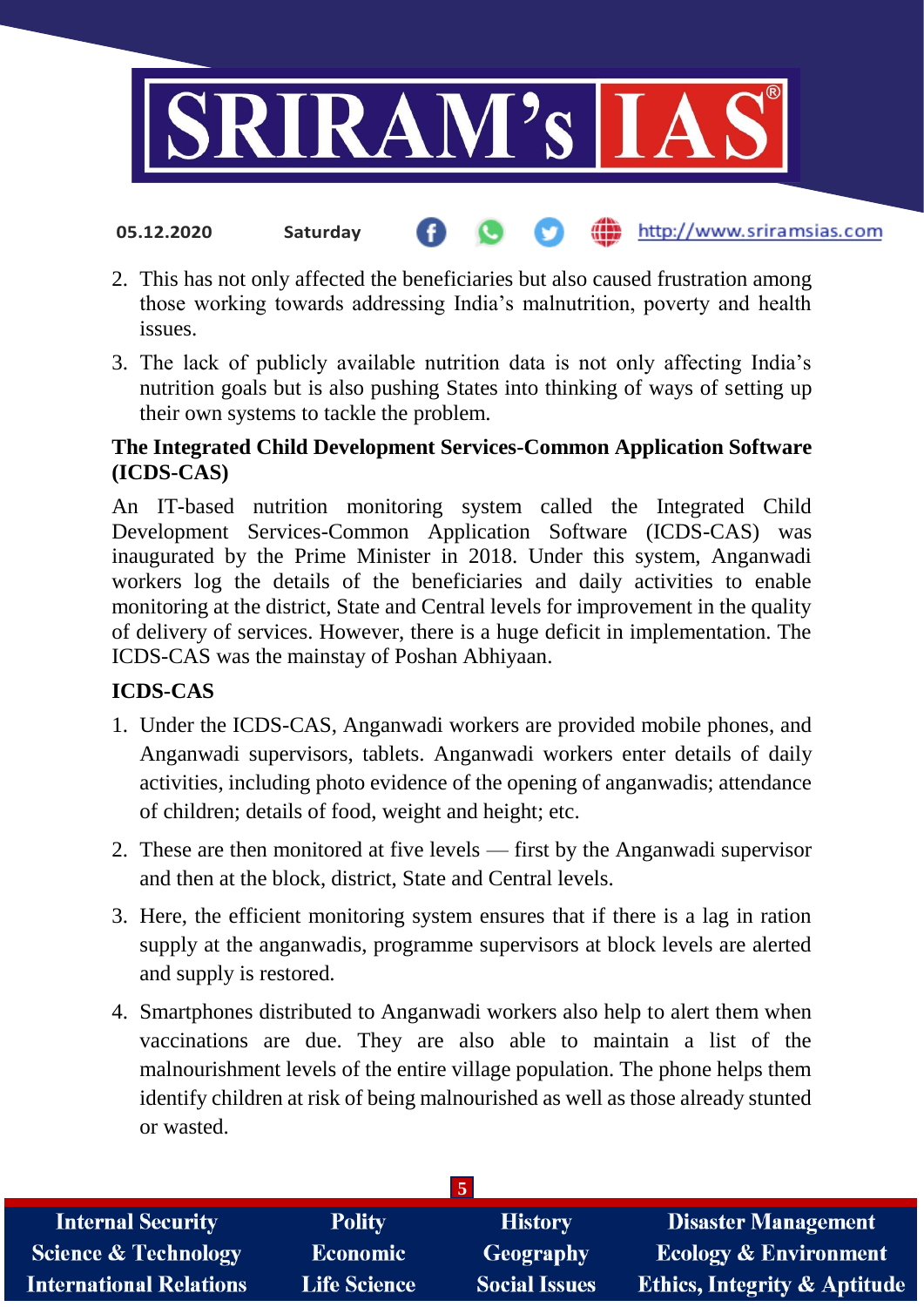

- 2. This has not only affected the beneficiaries but also caused frustration among those working towards addressing India's malnutrition, poverty and health issues.
- 3. The lack of publicly available nutrition data is not only affecting India's nutrition goals but is also pushing States into thinking of ways of setting up their own systems to tackle the problem.

#### **The Integrated Child Development Services-Common Application Software (ICDS-CAS)**

An IT-based nutrition monitoring system called the Integrated Child Development Services-Common Application Software (ICDS-CAS) was inaugurated by the Prime Minister in 2018. Under this system, Anganwadi workers log the details of the beneficiaries and daily activities to enable monitoring at the district, State and Central levels for improvement in the quality of delivery of services. However, there is a huge deficit in implementation. The ICDS-CAS was the mainstay of Poshan Abhiyaan.

## **ICDS-CAS**

- 1. Under the ICDS-CAS, Anganwadi workers are provided mobile phones, and Anganwadi supervisors, tablets. Anganwadi workers enter details of daily activities, including photo evidence of the opening of anganwadis; attendance of children; details of food, weight and height; etc.
- 2. These are then monitored at five levels first by the Anganwadi supervisor and then at the block, district, State and Central levels.
- 3. Here, the efficient monitoring system ensures that if there is a lag in ration supply at the anganwadis, programme supervisors at block levels are alerted and supply is restored.
- 4. Smartphones distributed to Anganwadi workers also help to alert them when vaccinations are due. They are also able to maintain a list of the malnourishment levels of the entire village population. The phone helps them identify children at risk of being malnourished as well as those already stunted or wasted.

| <b>Internal Security</b>        | <b>Polity</b>       | <b>History</b>       | <b>Disaster Management</b>              |
|---------------------------------|---------------------|----------------------|-----------------------------------------|
| <b>Science &amp; Technology</b> | <b>Economic</b>     | Geography            | <b>Ecology &amp; Environment</b>        |
| <b>International Relations</b>  | <b>Life Science</b> | <b>Social Issues</b> | <b>Ethics, Integrity &amp; Aptitude</b> |